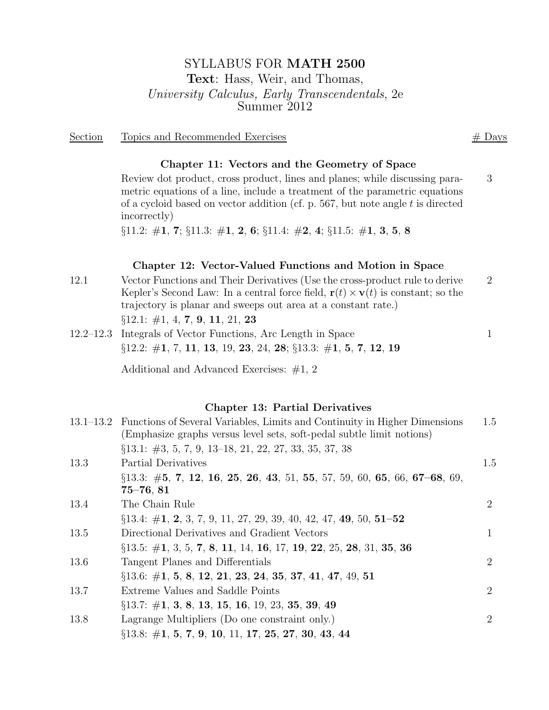# SYLLABUS FOR MATH 2500 Text: Hass, Weir, and Thomas, University Calculus, Early Transcendentals, 2e Summer 2012

Section Topics and Recommended Exercises # Days

### Chapter 11: Vectors and the Geometry of Space

Review dot product, cross product, lines and planes; while discussing parametric equations of a line, include a treatment of the parametric equations of a cycloid based on vector addition (cf. p. 567, but note angle  $t$  is directed incorrectly) 3

 $\S 11.2: \#1, 7; \S 11.3: \#1, 2, 6; \S 11.4: \#2, 4; \S 11.5: \#1, 3, 5, 8$ 

### Chapter 12: Vector-Valued Functions and Motion in Space

- 12.1 Vector Functions and Their Derivatives (Use the cross-product rule to derive Kepler's Second Law: In a central force field,  $\mathbf{r}(t) \times \mathbf{v}(t)$  is constant; so the trajectory is planar and sweeps out area at a constant rate.) 2  $§12.1: #1, 4, 7, 9, 11, 21, 23$
- 12.2–12.3 Integrals of Vector Functions, Arc Length in Space 1  $\S 12.2: \#1, 7, 11, 13, 19, 23, 24, 28; \S 13.3: \#1, 5, 7, 12, 19$

Additional and Advanced Exercises: #1, 2

## Chapter 13: Partial Derivatives

|      | 13.1–13.2 Functions of Several Variables, Limits and Continuity in Higher Dimensions<br>(Emphasize graphs versus level sets, soft-pedal subtle limit notions) | 1.5            |
|------|---------------------------------------------------------------------------------------------------------------------------------------------------------------|----------------|
|      | $\S 13.1: \#3, 5, 7, 9, 13-18, 21, 22, 27, 33, 35, 37, 38$                                                                                                    |                |
| 13.3 | Partial Derivatives                                                                                                                                           | 1.5            |
|      | $\S 13.3: \#5, 7, 12, 16, 25, 26, 43, 51, 55, 57, 59, 60, 65, 66, 67-68, 69,$                                                                                 |                |
|      | $75 - 76,81$                                                                                                                                                  |                |
| 13.4 | The Chain Rule                                                                                                                                                | 2              |
|      | $\S 13.4: \#1, 2, 3, 7, 9, 11, 27, 29, 39, 40, 42, 47, 49, 50, 51-52$                                                                                         |                |
| 13.5 | Directional Derivatives and Gradient Vectors                                                                                                                  | 1              |
|      | $\S 13.5: \#1, 3, 5, 7, 8, 11, 14, 16, 17, 19, 22, 25, 28, 31, 35, 36$                                                                                        |                |
| 13.6 | Tangent Planes and Differentials                                                                                                                              | $\overline{2}$ |
|      | $\S 13.6: \#1, 5, 8, 12, 21, 23, 24, 35, 37, 41, 47, 49, 51$                                                                                                  |                |
| 13.7 | Extreme Values and Saddle Points                                                                                                                              | $\overline{2}$ |
|      | $\S 13.7: \#1, 3, 8, 13, 15, 16, 19, 23, 35, 39, 49$                                                                                                          |                |
| 13.8 | Lagrange Multipliers (Do one constraint only.)                                                                                                                | $\overline{2}$ |
|      | $\S 13.8: \#1, 5, 7, 9, 10, 11, 17, 25, 27, 30, 43, 44$                                                                                                       |                |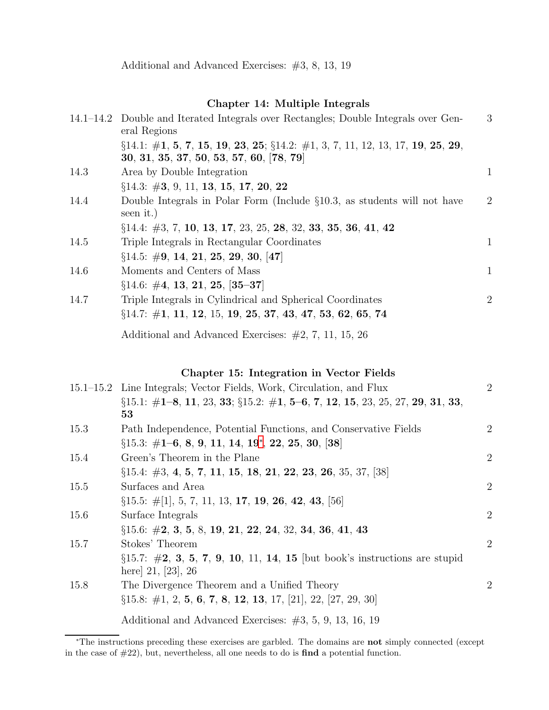## Chapter 14: Multiple Integrals

|      | 14.1–14.2 Double and Iterated Integrals over Rectangles; Double Integrals over Gen-<br>eral Regions                               | 3              |
|------|-----------------------------------------------------------------------------------------------------------------------------------|----------------|
|      | $\S 14.1: \#1, 5, 7, 15, 19, 23, 25; \S 14.2: \#1, 3, 7, 11, 12, 13, 17, 19, 25, 29,$<br>30, 31, 35, 37, 50, 53, 57, 60, [78, 79] |                |
| 14.3 | Area by Double Integration                                                                                                        | $\mathbf{1}$   |
|      | §14.3: #3, 9, 11, 13, 15, 17, 20, 22                                                                                              |                |
| 14.4 | Double Integrals in Polar Form (Include $\S 10.3$ , as students will not have<br>seen it.)                                        | $\overline{2}$ |
|      | $\S 14.4: \#3, 7, 10, 13, 17, 23, 25, 28, 32, 33, 35, 36, 41, 42$                                                                 |                |
| 14.5 | Triple Integrals in Rectangular Coordinates                                                                                       | 1              |
|      | $\S 14.5: \#9, 14, 21, 25, 29, 30, [47]$                                                                                          |                |
| 14.6 | Moments and Centers of Mass                                                                                                       | $\mathbf{1}$   |
|      | $\S 14.6: \#4, 13, 21, 25, [35-37]$                                                                                               |                |
| 14.7 | Triple Integrals in Cylindrical and Spherical Coordinates                                                                         | $\overline{2}$ |
|      | $\S 14.7: \#1, 11, 12, 15, 19, 25, 37, 43, 47, 53, 62, 65, 74$                                                                    |                |
|      | Additional and Advanced Exercises: $\#2, 7, 11, 15, 26$                                                                           |                |

# Chapter 15: Integration in Vector Fields

|      | 15.1–15.2 Line Integrals; Vector Fields, Work, Circulation, and Flux                                | $\overline{2}$ |
|------|-----------------------------------------------------------------------------------------------------|----------------|
|      | $\S 15.1: \#1-8, 11, 23, 33; \S 15.2: \#1, 5-6, 7, 12, 15, 23, 25, 27, 29, 31, 33,$<br>53           |                |
| 15.3 | Path Independence, Potential Functions, and Conservative Fields                                     | $\overline{2}$ |
|      | $\S 15.3: \#1-6, 8, 9, 11, 14, 19^*, 22, 25, 30, 38$                                                |                |
| 15.4 | Green's Theorem in the Plane                                                                        | $\overline{2}$ |
|      | $\S 15.4: \#3, 4, 5, 7, 11, 15, 18, 21, 22, 23, 26, 35, 37, 38$                                     |                |
| 15.5 | Surfaces and Area                                                                                   | $\overline{2}$ |
|      | $\S 15.5: \#[1], 5, 7, 11, 13, 17, 19, 26, 42, 43, [56]$                                            |                |
| 15.6 | Surface Integrals                                                                                   | $\overline{2}$ |
|      | $\S 15.6: \#2, 3, 5, 8, 19, 21, 22, 24, 32, 34, 36, 41, 43$                                         |                |
| 15.7 | Stokes' Theorem                                                                                     | $\overline{2}$ |
|      | $\S 15.7: \#2, 3, 5, 7, 9, 10, 11, 14, 15$ [but book's instructions are stupid<br>here $21, 23, 26$ |                |
| 15.8 | The Divergence Theorem and a Unified Theory                                                         | $\overline{2}$ |
|      | $\S 15.8: \#1, 2, 5, 6, 7, 8, 12, 13, 17, [21], 22, [27, 29, 30]$                                   |                |
|      | Additional and Advanced Exercises: $\#3, 5, 9, 13, 16, 19$                                          |                |

<span id="page-1-0"></span><sup>∗</sup>The instructions preceding these exercises are garbled. The domains are not simply connected (except in the case of #22), but, nevertheless, all one needs to do is find a potential function.